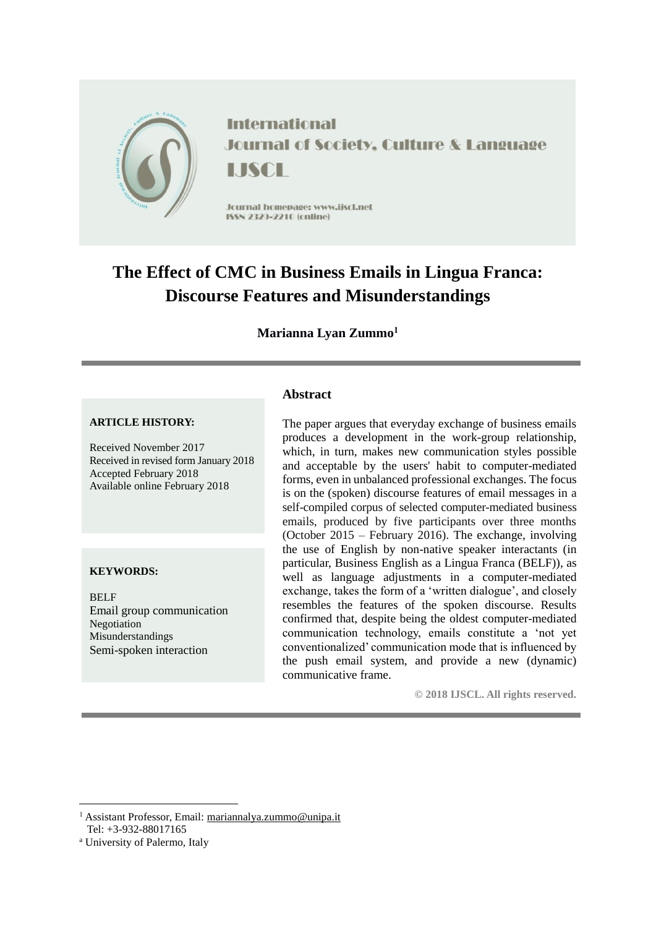

**International Journal of Society, Culture & Language** LISCH

Jcurnal homepage: www.jiscl.net ISSN 2329-2210 (cnline)

# **The Effect of CMC in Business Emails in Lingua Franca: Discourse Features and Misunderstandings**

**Marianna Lyan Zummo<sup>1</sup>**

#### **ARTICLE HISTORY:**

Received November 2017 Received in revised form January 2018 Accepted February 2018 Available online February 2018

#### **KEYWORDS:**

BELF Email group communication Negotiation Misunderstandings Semi-spoken interaction

## **Abstract**

The paper argues that everyday exchange of business emails produces a development in the work-group relationship, which, in turn, makes new communication styles possible and acceptable by the users' habit to computer-mediated forms, even in unbalanced professional exchanges. The focus is on the (spoken) discourse features of email messages in a self-compiled corpus of selected computer-mediated business emails, produced by five participants over three months (October 2015 – February 2016). The exchange, involving the use of English by non-native speaker interactants (in particular, Business English as a Lingua Franca (BELF)), as well as language adjustments in a computer-mediated exchange, takes the form of a 'written dialogue', and closely resembles the features of the spoken discourse. Results confirmed that, despite being the oldest computer-mediated communication technology, emails constitute a 'not yet conventionalized' communication mode that is influenced by the push email system, and provide a new (dynamic) communicative frame.

**© 2018 IJSCL. All rights reserved.**

<sup>1</sup> Assistant Professor, Email: [mariannalya.zummo@unipa.it](mailto:mariannalya.zummo@unipa.it) Tel: +3-932-88017165

<u>.</u>

<sup>a</sup> University of Palermo, Italy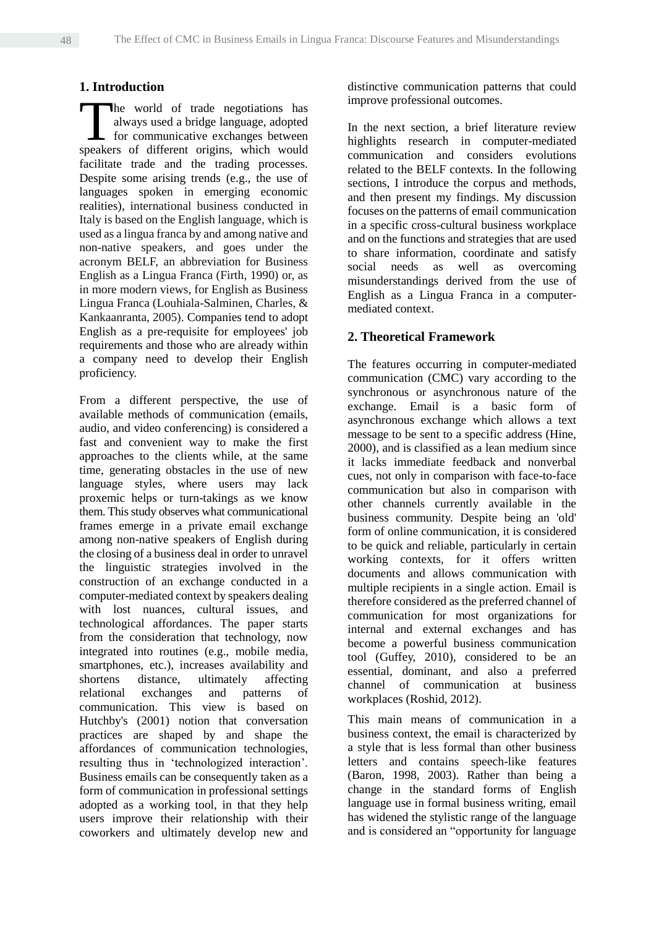## **1. Introduction**

he world of trade negotiations has always used a bridge language, adopted for communicative exchanges between The world of trade negotiations has always used a bridge language, adopted for communicative exchanges between speakers of different origins, which would facilitate trade and the trading processes. Despite some arising trends (e.g., the use of languages spoken in emerging economic realities), international business conducted in Italy is based on the English language, which is used as a lingua franca by and among native and non-native speakers, and goes under the acronym BELF, an abbreviation for Business English as a Lingua Franca (Firth, 1990) or, as in more modern views, for English as Business Lingua Franca (Louhiala-Salminen, Charles, & Kankaanranta, 2005). Companies tend to adopt English as a pre-requisite for employees' job requirements and those who are already within a company need to develop their English proficiency.

From a different perspective, the use of available methods of communication (emails, audio, and video conferencing) is considered a fast and convenient way to make the first approaches to the clients while, at the same time, generating obstacles in the use of new language styles, where users may lack proxemic helps or turn-takings as we know them. This study observes what communicational frames emerge in a private email exchange among non-native speakers of English during the closing of a business deal in order to unravel the linguistic strategies involved in the construction of an exchange conducted in a computer-mediated context by speakers dealing with lost nuances, cultural issues, and technological affordances. The paper starts from the consideration that technology, now integrated into routines (e.g., mobile media, smartphones, etc.), increases availability and shortens distance, ultimately affecting relational exchanges and patterns of communication. This view is based on Hutchby's (2001) notion that conversation practices are shaped by and shape the affordances of communication technologies, resulting thus in 'technologized interaction'. Business emails can be consequently taken as a form of communication in professional settings adopted as a working tool, in that they help users improve their relationship with their coworkers and ultimately develop new and distinctive communication patterns that could improve professional outcomes.

In the next section, a brief literature review highlights research in computer-mediated communication and considers evolutions related to the BELF contexts. In the following sections, I introduce the corpus and methods, and then present my findings. My discussion focuses on the patterns of email communication in a specific cross-cultural business workplace and on the functions and strategies that are used to share information, coordinate and satisfy social needs as well as overcoming misunderstandings derived from the use of English as a Lingua Franca in a computermediated context.

## **2. Theoretical Framework**

The features occurring in computer-mediated communication (CMC) vary according to the synchronous or asynchronous nature of the exchange. Email is a basic form of asynchronous exchange which allows a text message to be sent to a specific address (Hine, 2000), and is classified as a lean medium since it lacks immediate feedback and nonverbal cues, not only in comparison with face-to-face communication but also in comparison with other channels currently available in the business community. Despite being an 'old' form of online communication, it is considered to be quick and reliable, particularly in certain working contexts, for it offers written documents and allows communication with multiple recipients in a single action. Email is therefore considered as the preferred channel of communication for most organizations for internal and external exchanges and has become a powerful business communication tool (Guffey, 2010), considered to be an essential, dominant, and also a preferred channel of communication at business workplaces (Roshid, 2012).

This main means of communication in a business context, the email is characterized by a style that is less formal than other business letters and contains speech-like features (Baron, 1998, 2003). Rather than being a change in the standard forms of English language use in formal business writing, email has widened the stylistic range of the language and is considered an "opportunity for language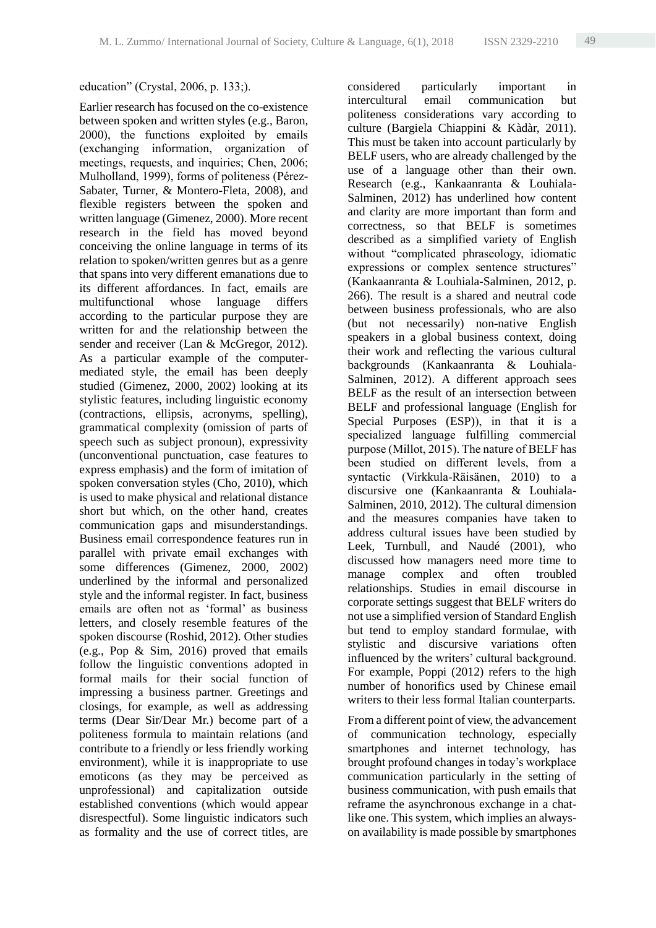#### education" (Crystal, 2006, p. 133;).

Earlier research has focused on the co-existence between spoken and written styles (e.g., Baron, 2000), the functions exploited by emails (exchanging information, organization of meetings, requests, and inquiries; Chen, 2006; Mulholland, 1999), forms of politeness (Pérez-Sabater, Turner, & Montero-Fleta, 2008), and flexible registers between the spoken and written language (Gimenez, 2000). More recent research in the field has moved beyond conceiving the online language in terms of its relation to spoken/written genres but as a genre that spans into very different emanations due to its different affordances. In fact, emails are multifunctional whose language differs according to the particular purpose they are written for and the relationship between the sender and receiver (Lan & McGregor, 2012). As a particular example of the computermediated style, the email has been deeply studied (Gimenez, 2000, 2002) looking at its stylistic features, including linguistic economy (contractions, ellipsis, acronyms, spelling), grammatical complexity (omission of parts of speech such as subject pronoun), expressivity (unconventional punctuation, case features to express emphasis) and the form of imitation of spoken conversation styles (Cho, 2010), which is used to make physical and relational distance short but which, on the other hand, creates communication gaps and misunderstandings. Business email correspondence features run in parallel with private email exchanges with some differences (Gimenez, 2000, 2002) underlined by the informal and personalized style and the informal register. In fact, business emails are often not as 'formal' as business letters, and closely resemble features of the spoken discourse (Roshid, 2012). Other studies (e.g., Pop & Sim, 2016) proved that emails follow the linguistic conventions adopted in formal mails for their social function of impressing a business partner. Greetings and closings, for example, as well as addressing terms (Dear Sir/Dear Mr.) become part of a politeness formula to maintain relations (and contribute to a friendly or less friendly working environment), while it is inappropriate to use emoticons (as they may be perceived as unprofessional) and capitalization outside established conventions (which would appear disrespectful). Some linguistic indicators such as formality and the use of correct titles, are

considered particularly important in intercultural email communication but politeness considerations vary according to culture (Bargiela Chiappini & Kàdàr, 2011). This must be taken into account particularly by BELF users, who are already challenged by the use of a language other than their own. Research (e.g., Kankaanranta & Louhiala-Salminen, 2012) has underlined how content and clarity are more important than form and correctness, so that BELF is sometimes described as a simplified variety of English without "complicated phraseology, idiomatic expressions or complex sentence structures" (Kankaanranta & Louhiala-Salminen, 2012, p. 266). The result is a shared and neutral code between business professionals, who are also (but not necessarily) non-native English speakers in a global business context, doing their work and reflecting the various cultural backgrounds (Kankaanranta & Louhiala-Salminen, 2012). A different approach sees BELF as the result of an intersection between BELF and professional language (English for Special Purposes (ESP)), in that it is a specialized language fulfilling commercial purpose (Millot, 2015). The nature of BELF has been studied on different levels, from a syntactic (Virkkula-Räisänen, 2010) to a discursive one (Kankaanranta & Louhiala-Salminen, 2010, 2012). The cultural dimension and the measures companies have taken to address cultural issues have been studied by Leek, Turnbull, and Naudé (2001), who discussed how managers need more time to manage complex and often troubled relationships. Studies in email discourse in corporate settings suggest that BELF writers do not use a simplified version of Standard English but tend to employ standard formulae, with stylistic and discursive variations often influenced by the writers' cultural background. For example, Poppi (2012) refers to the high number of honorifics used by Chinese email writers to their less formal Italian counterparts.

From a different point of view, the advancement of communication technology, especially smartphones and internet technology, has brought profound changes in today's workplace communication particularly in the setting of business communication, with push emails that reframe the asynchronous exchange in a chatlike one. This system, which implies an alwayson availability is made possible by smartphones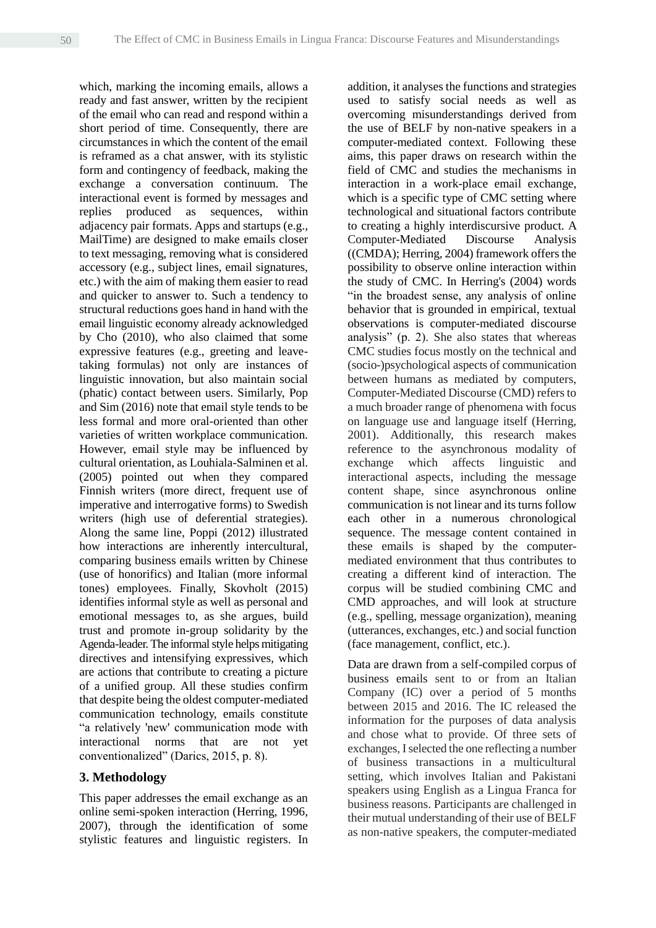which, marking the incoming emails, allows a ready and fast answer, written by the recipient of the email who can read and respond within a short period of time. Consequently, there are circumstances in which the content of the email is reframed as a chat answer, with its stylistic form and contingency of feedback, making the exchange a conversation continuum. The interactional event is formed by messages and replies produced as sequences, within adjacency pair formats. Apps and startups (e.g., MailTime) are designed to make emails closer to text messaging, removing what is considered accessory (e.g., subject lines, email signatures, etc.) with the aim of making them easier to read and quicker to answer to. Such a tendency to structural reductions goes hand in hand with the email linguistic economy already acknowledged by Cho (2010), who also claimed that some expressive features (e.g., greeting and leavetaking formulas) not only are instances of linguistic innovation, but also maintain social (phatic) contact between users. Similarly, Pop and Sim (2016) note that email style tends to be less formal and more oral-oriented than other varieties of written workplace communication. However, email style may be influenced by cultural orientation, as Louhiala-Salminen et al. (2005) pointed out when they compared Finnish writers (more direct, frequent use of imperative and interrogative forms) to Swedish writers (high use of deferential strategies). Along the same line, Poppi (2012) illustrated how interactions are inherently intercultural, comparing business emails written by Chinese (use of honorifics) and Italian (more informal tones) employees. Finally, Skovholt (2015) identifies informal style as well as personal and emotional messages to, as she argues, build trust and promote in-group solidarity by the Agenda-leader. The informal style helps mitigating directives and intensifying expressives, which are actions that contribute to creating a picture of a unified group. All these studies confirm that despite being the oldest computer-mediated communication technology, emails constitute "a relatively 'new' communication mode with interactional norms that are not yet conventionalized" (Darics, 2015, p. 8).

#### **3. Methodology**

This paper addresses the email exchange as an online semi-spoken interaction (Herring, 1996, 2007), through the identification of some stylistic features and linguistic registers. In addition, it analyses the functions and strategies used to satisfy social needs as well as overcoming misunderstandings derived from the use of BELF by non-native speakers in a computer-mediated context. Following these aims, this paper draws on research within the field of CMC and studies the mechanisms in interaction in a work-place email exchange, which is a specific type of CMC setting where technological and situational factors contribute to creating a highly interdiscursive product. A Computer-Mediated Discourse Analysis ((CMDA); Herring, 2004) framework offers the possibility to observe online interaction within the study of CMC. In Herring's (2004) words "in the broadest sense, any analysis of online behavior that is grounded in empirical, textual observations is computer-mediated discourse analysis" (p. 2). She also states that whereas CMC studies focus mostly on the technical and (socio-)psychological aspects of communication between humans as mediated by computers, Computer-Mediated Discourse (CMD) refers to a much broader range of phenomena with focus on language use and language itself (Herring, 2001). Additionally, this research makes reference to the asynchronous modality of exchange which affects linguistic and interactional aspects, including the message content shape, since asynchronous online communication is not linear and its turns follow each other in a numerous chronological sequence. The message content contained in these emails is shaped by the computermediated environment that thus contributes to creating a different kind of interaction. The corpus will be studied combining CMC and CMD approaches, and will look at structure (e.g., spelling, message organization), meaning (utterances, exchanges, etc.) and social function (face management, conflict, etc.).

Data are drawn from a self-compiled corpus of business emails sent to or from an Italian Company (IC) over a period of 5 months between 2015 and 2016. The IC released the information for the purposes of data analysis and chose what to provide. Of three sets of exchanges, I selected the one reflecting a number of business transactions in a multicultural setting, which involves Italian and Pakistani speakers using English as a Lingua Franca for business reasons. Participants are challenged in their mutual understanding of their use of BELF as non-native speakers, the computer-mediated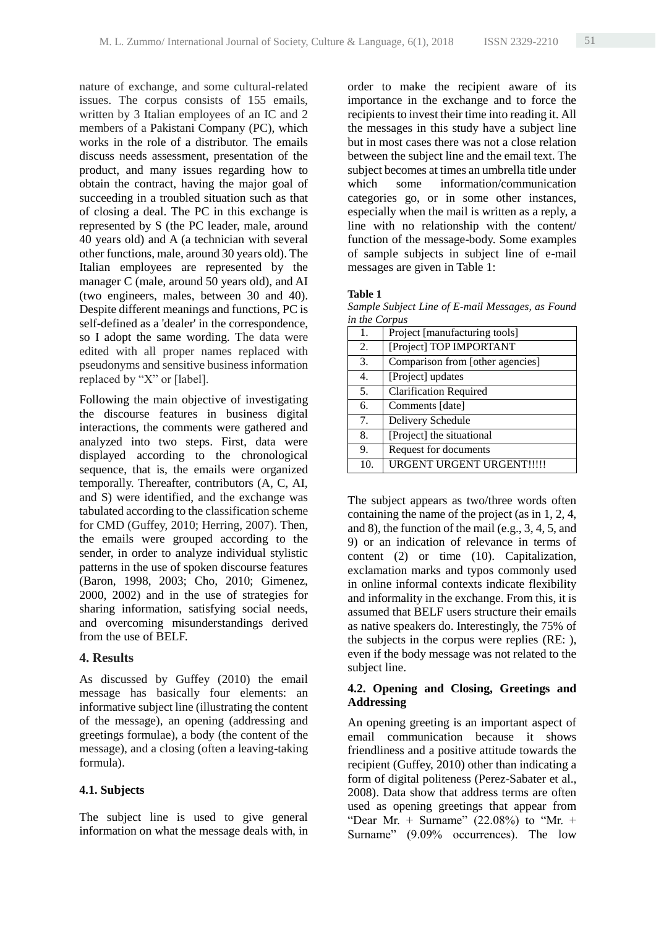nature of exchange, and some cultural-related issues. The corpus consists of 155 emails, written by 3 Italian employees of an IC and 2 members of a Pakistani Company (PC), which works in the role of a distributor. The emails discuss needs assessment, presentation of the product, and many issues regarding how to obtain the contract, having the major goal of succeeding in a troubled situation such as that of closing a deal. The PC in this exchange is represented by S (the PC leader, male, around 40 years old) and A (a technician with several other functions, male, around 30 years old). The Italian employees are represented by the manager C (male, around 50 years old), and AI (two engineers, males, between 30 and 40). Despite different meanings and functions, PC is self-defined as a 'dealer' in the correspondence, so I adopt the same wording. The data were edited with all proper names replaced with pseudonyms and sensitive business information replaced by "X" or [label].

Following the main objective of investigating the discourse features in business digital interactions, the comments were gathered and analyzed into two steps. First, data were displayed according to the chronological sequence, that is, the emails were organized temporally. Thereafter, contributors (A, C, AI, and S) were identified, and the exchange was tabulated according to the classification scheme for CMD (Guffey, 2010; Herring, 2007). Then, the emails were grouped according to the sender, in order to analyze individual stylistic patterns in the use of spoken discourse features (Baron, 1998, 2003; Cho, 2010; Gimenez, 2000, 2002) and in the use of strategies for sharing information, satisfying social needs, and overcoming misunderstandings derived from the use of BELF.

## **4. Results**

As discussed by Guffey (2010) the email message has basically four elements: an informative subject line (illustrating the content of the message), an opening (addressing and greetings formulae), a body (the content of the message), and a closing (often a leaving-taking formula).

## **4.1. Subjects**

The subject line is used to give general information on what the message deals with, in

order to make the recipient aware of its importance in the exchange and to force the recipients to invest their time into reading it. All the messages in this study have a subject line but in most cases there was not a close relation between the subject line and the email text. The subject becomes at times an umbrella title under which some information/communication categories go, or in some other instances, especially when the mail is written as a reply, a line with no relationship with the content/ function of the message-body. Some examples of sample subjects in subject line of e-mail messages are given in Table 1:

#### **Table 1**

*Sample Subject Line of E-mail Messages, as Found in the Corpus*

| 1.  | Project [manufacturing tools]    |  |  |  |
|-----|----------------------------------|--|--|--|
| 2.  | [Project] TOP IMPORTANT          |  |  |  |
| 3.  | Comparison from [other agencies] |  |  |  |
| 4.  | [Project] updates                |  |  |  |
| 5.  | <b>Clarification Required</b>    |  |  |  |
| 6.  | Comments [date]                  |  |  |  |
| 7.  | Delivery Schedule                |  |  |  |
| 8.  | [Project] the situational        |  |  |  |
| 9.  | Request for documents            |  |  |  |
| 10. | <b>URGENT URGENT URGENT!!!!!</b> |  |  |  |

The subject appears as two/three words often containing the name of the project (as in 1, 2, 4, and 8), the function of the mail (e.g., 3, 4, 5, and 9) or an indication of relevance in terms of content (2) or time (10). Capitalization, exclamation marks and typos commonly used in online informal contexts indicate flexibility and informality in the exchange. From this, it is assumed that BELF users structure their emails as native speakers do. Interestingly, the 75% of the subjects in the corpus were replies (RE: ), even if the body message was not related to the subject line.

## **4.2. Opening and Closing, Greetings and Addressing**

An opening greeting is an important aspect of email communication because it shows friendliness and a positive attitude towards the recipient (Guffey, 2010) other than indicating a form of digital politeness (Perez-Sabater et al., 2008). Data show that address terms are often used as opening greetings that appear from "Dear Mr. + Surname"  $(22.08\%)$  to "Mr. + Surname" (9.09% occurrences). The low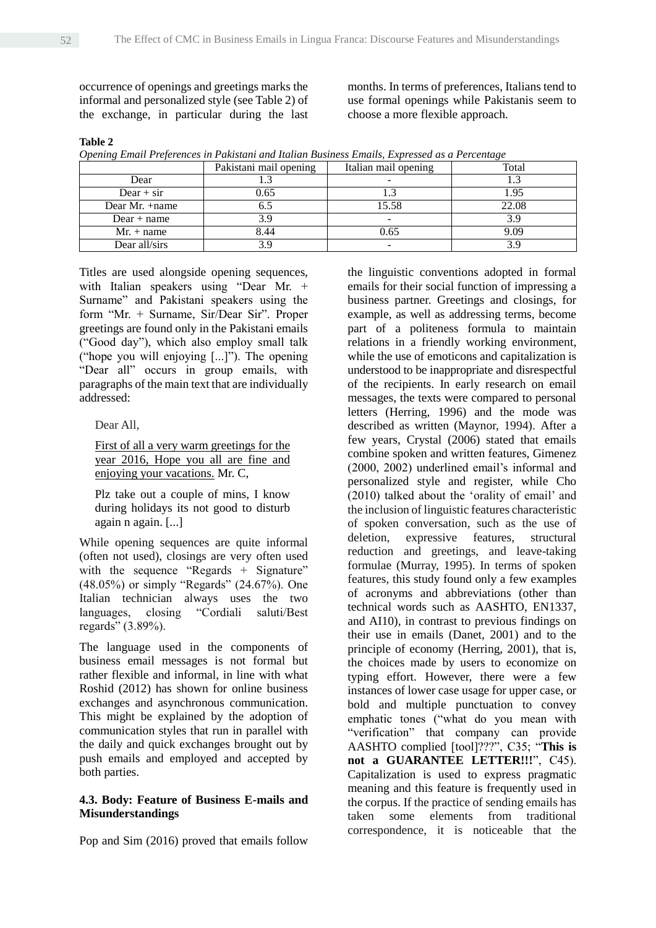occurrence of openings and greetings marks the informal and personalized style (see Table 2) of the exchange, in particular during the last months. In terms of preferences, Italians tend to use formal openings while Pakistanis seem to choose a more flexible approach.

#### **Table 2**

|  |  | Opening Email Preferences in Pakistani and Italian Business Emails, Expressed as a Percentage |  |  |  |  |  |  |  |
|--|--|-----------------------------------------------------------------------------------------------|--|--|--|--|--|--|--|
|--|--|-----------------------------------------------------------------------------------------------|--|--|--|--|--|--|--|

|                  | Pakistani mail opening | Italian mail opening | Total |
|------------------|------------------------|----------------------|-------|
| Dear             |                        |                      |       |
| $Dear + sir$     | 0.65                   |                      | 1.95  |
| Dear Mr. $+name$ |                        | 15.58                | 22.08 |
| $Dear + name$    | 3.9                    |                      |       |
| $Mr. + name$     | 8.44                   | 0.65                 | 9.09  |
| Dear all/sirs    | 39                     |                      |       |

Titles are used alongside opening sequences, with Italian speakers using "Dear Mr. + Surname" and Pakistani speakers using the form "Mr. + Surname, Sir/Dear Sir". Proper greetings are found only in the Pakistani emails ("Good day"), which also employ small talk ("hope you will enjoying [...]"). The opening "Dear all" occurs in group emails, with paragraphs of the main text that are individually addressed:

Dear All,

First of all a very warm greetings for the year 2016, Hope you all are fine and enjoying your vacations. Mr. C,

Plz take out a couple of mins, I know during holidays its not good to disturb again n again. [...]

While opening sequences are quite informal (often not used), closings are very often used with the sequence "Regards + Signature" (48.05%) or simply "Regards" (24.67%). One Italian technician always uses the two languages, closing "Cordiali saluti/Best regards" (3.89%).

The language used in the components of business email messages is not formal but rather flexible and informal, in line with what Roshid (2012) has shown for online business exchanges and asynchronous communication. This might be explained by the adoption of communication styles that run in parallel with the daily and quick exchanges brought out by push emails and employed and accepted by both parties.

#### **4.3. Body: Feature of Business E-mails and Misunderstandings**

Pop and Sim (2016) proved that emails follow

the linguistic conventions adopted in formal emails for their social function of impressing a business partner. Greetings and closings, for example, as well as addressing terms, become part of a politeness formula to maintain relations in a friendly working environment, while the use of emoticons and capitalization is understood to be inappropriate and disrespectful of the recipients. In early research on email messages, the texts were compared to personal letters (Herring, 1996) and the mode was described as written (Maynor, 1994). After a few years, Crystal (2006) stated that emails combine spoken and written features, Gimenez (2000, 2002) underlined email's informal and personalized style and register, while Cho (2010) talked about the 'orality of email' and the inclusion of linguistic features characteristic of spoken conversation, such as the use of deletion, expressive features, structural reduction and greetings, and leave-taking formulae (Murray, 1995). In terms of spoken features, this study found only a few examples of acronyms and abbreviations (other than technical words such as AASHTO, EN1337, and AI10), in contrast to previous findings on their use in emails (Danet, 2001) and to the principle of economy (Herring, 2001), that is, the choices made by users to economize on typing effort. However, there were a few instances of lower case usage for upper case, or bold and multiple punctuation to convey emphatic tones ("what do you mean with "verification" that company can provide AASHTO complied [tool]???", C35; "**This is not a GUARANTEE LETTER!!!**", C45). Capitalization is used to express pragmatic meaning and this feature is frequently used in the corpus. If the practice of sending emails has taken some elements from traditional correspondence, it is noticeable that the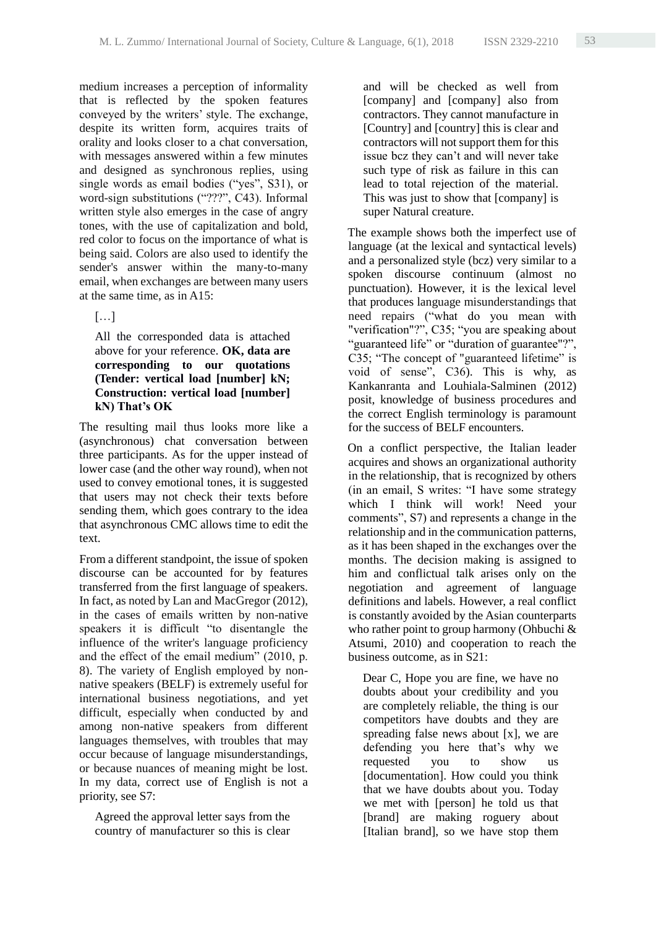medium increases a perception of informality that is reflected by the spoken features conveyed by the writers' style. The exchange, despite its written form, acquires traits of orality and looks closer to a chat conversation, with messages answered within a few minutes and designed as synchronous replies, using single words as email bodies ("yes", S31), or word-sign substitutions ("???", C43). Informal written style also emerges in the case of angry tones, with the use of capitalization and bold, red color to focus on the importance of what is being said. Colors are also used to identify the sender's answer within the many-to-many email, when exchanges are between many users at the same time, as in A15:

## $[\ldots]$

All the corresponded data is attached above for your reference. **OK, data are corresponding to our quotations (Tender: vertical load [number] kN; Construction: vertical load [number] kN) That's OK** 

The resulting mail thus looks more like a (asynchronous) chat conversation between three participants. As for the upper instead of lower case (and the other way round), when not used to convey emotional tones, it is suggested that users may not check their texts before sending them, which goes contrary to the idea that asynchronous CMC allows time to edit the text.

From a different standpoint, the issue of spoken discourse can be accounted for by features transferred from the first language of speakers. In fact, as noted by Lan and MacGregor (2012), in the cases of emails written by non-native speakers it is difficult "to disentangle the influence of the writer's language proficiency and the effect of the email medium" (2010, p. 8). The variety of English employed by nonnative speakers (BELF) is extremely useful for international business negotiations, and yet difficult, especially when conducted by and among non-native speakers from different languages themselves, with troubles that may occur because of language misunderstandings, or because nuances of meaning might be lost. In my data, correct use of English is not a priority, see S7:

Agreed the approval letter says from the country of manufacturer so this is clear and will be checked as well from [company] and [company] also from contractors. They cannot manufacture in [Country] and [country] this is clear and contractors will not support them for this issue bcz they can't and will never take such type of risk as failure in this can lead to total rejection of the material. This was just to show that [company] is super Natural creature.

The example shows both the imperfect use of language (at the lexical and syntactical levels) and a personalized style (bcz) very similar to a spoken discourse continuum (almost no punctuation). However, it is the lexical level that produces language misunderstandings that need repairs ("what do you mean with "verification"?", C35; "you are speaking about "guaranteed life" or "duration of guarantee"?", C35; "The concept of "guaranteed lifetime" is void of sense", C36). This is why, as Kankanranta and Louhiala-Salminen (2012) posit, knowledge of business procedures and the correct English terminology is paramount for the success of BELF encounters.

On a conflict perspective, the Italian leader acquires and shows an organizational authority in the relationship, that is recognized by others (in an email, S writes: "I have some strategy which I think will work! Need your comments", S7) and represents a change in the relationship and in the communication patterns, as it has been shaped in the exchanges over the months. The decision making is assigned to him and conflictual talk arises only on the negotiation and agreement of language definitions and labels. However, a real conflict is constantly avoided by the Asian counterparts who rather point to group harmony (Ohbuchi & Atsumi, 2010) and cooperation to reach the business outcome, as in S21:

Dear C, Hope you are fine, we have no doubts about your credibility and you are completely reliable, the thing is our competitors have doubts and they are spreading false news about [x], we are defending you here that's why we requested you to show us [documentation]. How could you think that we have doubts about you. Today we met with [person] he told us that [brand] are making roguery about [Italian brand], so we have stop them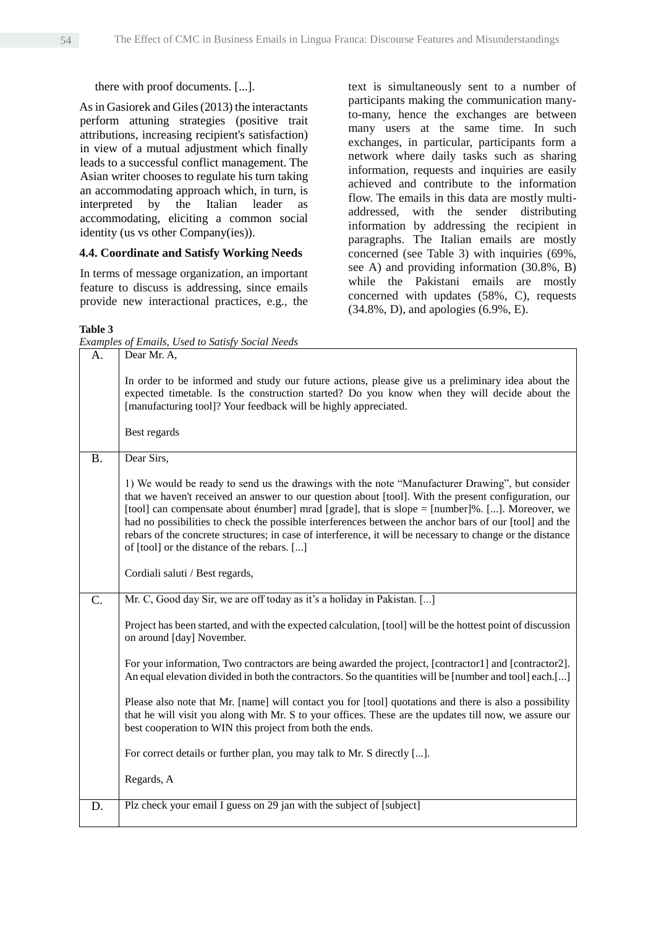#### there with proof documents. [...].

As in Gasiorek and Giles (2013) the interactants perform attuning strategies (positive trait attributions, increasing recipient's satisfaction) in view of a mutual adjustment which finally leads to a successful conflict management. The Asian writer chooses to regulate his turn taking an accommodating approach which, in turn, is interpreted by the Italian leader as accommodating, eliciting a common social identity (us vs other Company(ies)).

#### **4.4. Coordinate and Satisfy Working Needs**

In terms of message organization, an important feature to discuss is addressing, since emails provide new interactional practices, e.g., the

text is simultaneously sent to a number of participants making the communication manyto-many, hence the exchanges are between many users at the same time. In such exchanges, in particular, participants form a network where daily tasks such as sharing information, requests and inquiries are easily achieved and contribute to the information flow. The emails in this data are mostly multiaddressed, with the sender distributing information by addressing the recipient in paragraphs. The Italian emails are mostly concerned (see Table 3) with inquiries (69%, see A) and providing information (30.8%, B) while the Pakistani emails are mostly concerned with updates (58%, C), requests (34.8%, D), and apologies (6.9%, E).

#### **Table 3**

*Examples of Emails, Used to Satisfy Social Needs*

|           | емитрієв ој Етанів, б'яса то баняју бостат гессав                                                                                                                                                                                                                                                                                                                                                                                                                                                                                                                                |
|-----------|----------------------------------------------------------------------------------------------------------------------------------------------------------------------------------------------------------------------------------------------------------------------------------------------------------------------------------------------------------------------------------------------------------------------------------------------------------------------------------------------------------------------------------------------------------------------------------|
| А.        | Dear Mr. A,                                                                                                                                                                                                                                                                                                                                                                                                                                                                                                                                                                      |
|           | In order to be informed and study our future actions, please give us a preliminary idea about the<br>expected timetable. Is the construction started? Do you know when they will decide about the<br>[manufacturing tool]? Your feedback will be highly appreciated.                                                                                                                                                                                                                                                                                                             |
|           | Best regards                                                                                                                                                                                                                                                                                                                                                                                                                                                                                                                                                                     |
| <b>B.</b> | Dear Sirs,                                                                                                                                                                                                                                                                                                                                                                                                                                                                                                                                                                       |
|           | 1) We would be ready to send us the drawings with the note "Manufacturer Drawing", but consider<br>that we haven't received an answer to our question about [tool]. With the present configuration, our<br>[tool] can compensate about énumber] mrad [grade], that is slope = [number]%. []. Moreover, we<br>had no possibilities to check the possible interferences between the anchor bars of our [tool] and the<br>rebars of the concrete structures; in case of interference, it will be necessary to change or the distance<br>of [tool] or the distance of the rebars. [] |
|           | Cordiali saluti / Best regards,                                                                                                                                                                                                                                                                                                                                                                                                                                                                                                                                                  |
| C.        | Mr. C, Good day Sir, we are off today as it's a holiday in Pakistan. []                                                                                                                                                                                                                                                                                                                                                                                                                                                                                                          |
|           | Project has been started, and with the expected calculation, [tool] will be the hottest point of discussion<br>on around [day] November.                                                                                                                                                                                                                                                                                                                                                                                                                                         |
|           | For your information, Two contractors are being awarded the project, [contractor1] and [contractor2].<br>An equal elevation divided in both the contractors. So the quantities will be [number and tool] each.[]                                                                                                                                                                                                                                                                                                                                                                 |
|           | Please also note that Mr. [name] will contact you for [tool] quotations and there is also a possibility<br>that he will visit you along with Mr. S to your offices. These are the updates till now, we assure our<br>best cooperation to WIN this project from both the ends.                                                                                                                                                                                                                                                                                                    |
|           | For correct details or further plan, you may talk to Mr. S directly [].                                                                                                                                                                                                                                                                                                                                                                                                                                                                                                          |
|           | Regards, A                                                                                                                                                                                                                                                                                                                                                                                                                                                                                                                                                                       |
| D.        | Plz check your email I guess on 29 jan with the subject of [subject]                                                                                                                                                                                                                                                                                                                                                                                                                                                                                                             |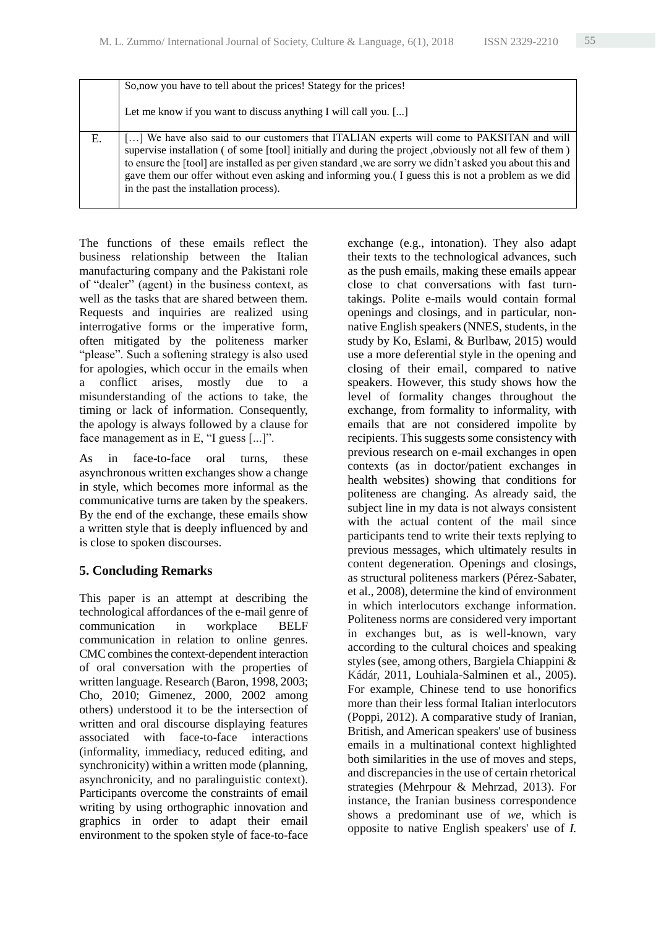|    | So, now you have to tell about the prices! Stategy for the prices!                                                                                                                                                                                                                                                                                                                                                                                                |
|----|-------------------------------------------------------------------------------------------------------------------------------------------------------------------------------------------------------------------------------------------------------------------------------------------------------------------------------------------------------------------------------------------------------------------------------------------------------------------|
|    | Let me know if you want to discuss anything I will call you. []                                                                                                                                                                                                                                                                                                                                                                                                   |
| Е. | [] We have also said to our customers that ITALIAN experts will come to PAKSITAN and will<br>supervise installation (of some [tool] initially and during the project, obviously not all few of them)<br>to ensure the [tool] are installed as per given standard, we are sorry we didn't asked you about this and<br>gave them our offer without even asking and informing you. I guess this is not a problem as we did<br>in the past the installation process). |

The functions of these emails reflect the business relationship between the Italian manufacturing company and the Pakistani role of "dealer" (agent) in the business context, as well as the tasks that are shared between them. Requests and inquiries are realized using interrogative forms or the imperative form, often mitigated by the politeness marker "please". Such a softening strategy is also used for apologies, which occur in the emails when a conflict arises, mostly due to a misunderstanding of the actions to take, the timing or lack of information. Consequently, the apology is always followed by a clause for face management as in E, "I guess [...]".

As in face-to-face oral turns, these asynchronous written exchanges show a change in style, which becomes more informal as the communicative turns are taken by the speakers. By the end of the exchange, these emails show a written style that is deeply influenced by and is close to spoken discourses.

# **5. Concluding Remarks**

This paper is an attempt at describing the technological affordances of the e-mail genre of communication in workplace BELF communication in relation to online genres. CMC combines the context-dependent interaction of oral conversation with the properties of written language. Research (Baron, 1998, 2003; Cho, 2010; Gimenez, 2000, 2002 among others) understood it to be the intersection of written and oral discourse displaying features associated with face-to-face interactions (informality, immediacy, reduced editing, and synchronicity) within a written mode (planning, asynchronicity, and no paralinguistic context). Participants overcome the constraints of email writing by using orthographic innovation and graphics in order to adapt their email environment to the spoken style of face-to-face exchange (e.g., intonation). They also adapt their texts to the technological advances, such as the push emails, making these emails appear close to chat conversations with fast turntakings. Polite e-mails would contain formal openings and closings, and in particular, nonnative English speakers (NNES, students, in the study by Ko, Eslami, & Burlbaw, 2015) would use a more deferential style in the opening and closing of their email, compared to native speakers. However, this study shows how the level of formality changes throughout the exchange, from formality to informality, with emails that are not considered impolite by recipients. This suggests some consistency with previous research on e-mail exchanges in open contexts (as in doctor/patient exchanges in health websites) showing that conditions for politeness are changing. As already said, the subject line in my data is not always consistent with the actual content of the mail since participants tend to write their texts replying to previous messages, which ultimately results in content degeneration. Openings and closings, as structural politeness markers (Pérez-Sabater, et al., 2008), determine the kind of environment in which interlocutors exchange information. Politeness norms are considered very important in exchanges but, as is well-known, vary according to the cultural choices and speaking styles (see, among others, Bargiela Chiappini & Kádár, 2011, Louhiala-Salminen et al., 2005). For example, Chinese tend to use honorifics more than their less formal Italian interlocutors (Poppi, 2012). A comparative study of Iranian, British, and American speakers' use of business emails in a multinational context highlighted both similarities in the use of moves and steps, and discrepancies in the use of certain rhetorical strategies (Mehrpour & Mehrzad, 2013). For instance, the Iranian business correspondence shows a predominant use of *we*, which is opposite to native English speakers' use of *I.*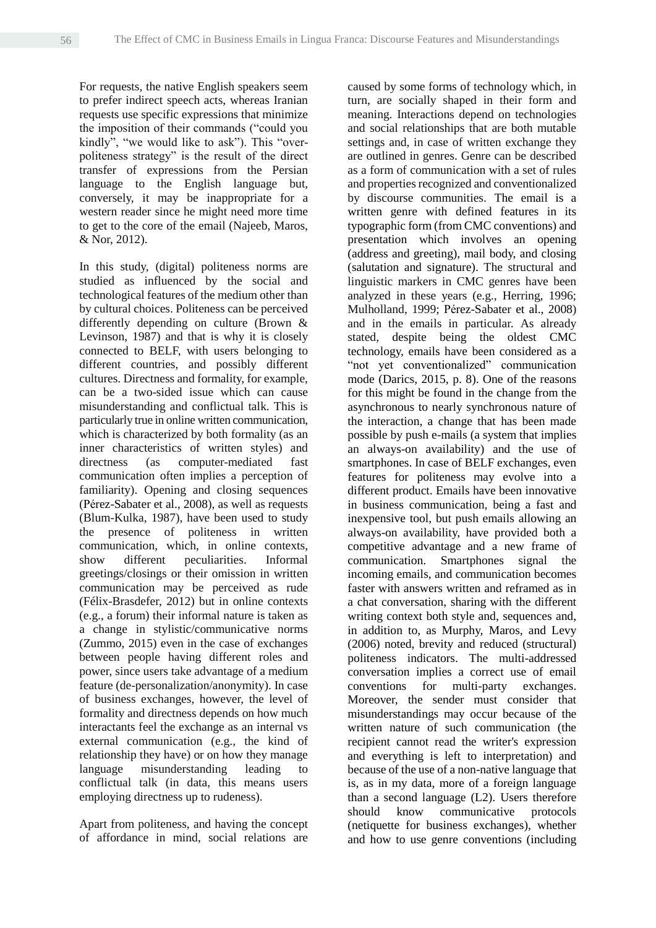For requests, the native English speakers seem to prefer indirect speech acts, whereas Iranian requests use specific expressions that minimize the imposition of their commands ("could you kindly", "we would like to ask"). This "overpoliteness strategy" is the result of the direct transfer of expressions from the Persian language to the English language but, conversely, it may be inappropriate for a western reader since he might need more time to get to the core of the email (Najeeb, Maros, & Nor, 2012).

In this study, (digital) politeness norms are studied as influenced by the social and technological features of the medium other than by cultural choices. Politeness can be perceived differently depending on culture (Brown & Levinson, 1987) and that is why it is closely connected to BELF, with users belonging to different countries, and possibly different cultures. Directness and formality, for example, can be a two-sided issue which can cause misunderstanding and conflictual talk. This is particularly true in online written communication, which is characterized by both formality (as an inner characteristics of written styles) and directness (as computer-mediated fast communication often implies a perception of familiarity). Opening and closing sequences (Pérez-Sabater et al., 2008), as well as requests (Blum-Kulka, 1987), have been used to study the presence of politeness in written communication, which, in online contexts, show different peculiarities. Informal greetings/closings or their omission in written communication may be perceived as rude (Félix-Brasdefer, 2012) but in online contexts (e.g., a forum) their informal nature is taken as a change in stylistic/communicative norms (Zummo, 2015) even in the case of exchanges between people having different roles and power, since users take advantage of a medium feature (de-personalization/anonymity). In case of business exchanges, however, the level of formality and directness depends on how much interactants feel the exchange as an internal vs external communication (e.g., the kind of relationship they have) or on how they manage language misunderstanding leading to conflictual talk (in data, this means users employing directness up to rudeness).

Apart from politeness, and having the concept of affordance in mind, social relations are

caused by some forms of technology which, in turn, are socially shaped in their form and meaning. Interactions depend on technologies and social relationships that are both mutable settings and, in case of written exchange they are outlined in genres. Genre can be described as a form of communication with a set of rules and properties recognized and conventionalized by discourse communities. The email is a written genre with defined features in its typographic form (from CMC conventions) and presentation which involves an opening (address and greeting), mail body, and closing (salutation and signature). The structural and linguistic markers in CMC genres have been analyzed in these years (e.g., Herring, 1996; Mulholland, 1999; Pérez-Sabater et al., 2008) and in the emails in particular. As already stated, despite being the oldest CMC technology, emails have been considered as a "not yet conventionalized" communication mode (Darics, 2015, p. 8). One of the reasons for this might be found in the change from the asynchronous to nearly synchronous nature of the interaction, a change that has been made possible by push e-mails (a system that implies an always-on availability) and the use of smartphones. In case of BELF exchanges, even features for politeness may evolve into a different product. Emails have been innovative in business communication, being a fast and inexpensive tool, but push emails allowing an always-on availability, have provided both a competitive advantage and a new frame of communication. Smartphones signal the incoming emails, and communication becomes faster with answers written and reframed as in a chat conversation, sharing with the different writing context both style and, sequences and, in addition to, as Murphy, Maros, and Levy (2006) noted, brevity and reduced (structural) politeness indicators. The multi-addressed conversation implies a correct use of email conventions for multi-party exchanges. Moreover, the sender must consider that misunderstandings may occur because of the written nature of such communication (the recipient cannot read the writer's expression and everything is left to interpretation) and because of the use of a non-native language that is, as in my data, more of a foreign language than a second language (L2). Users therefore should know communicative protocols (netiquette for business exchanges), whether and how to use genre conventions (including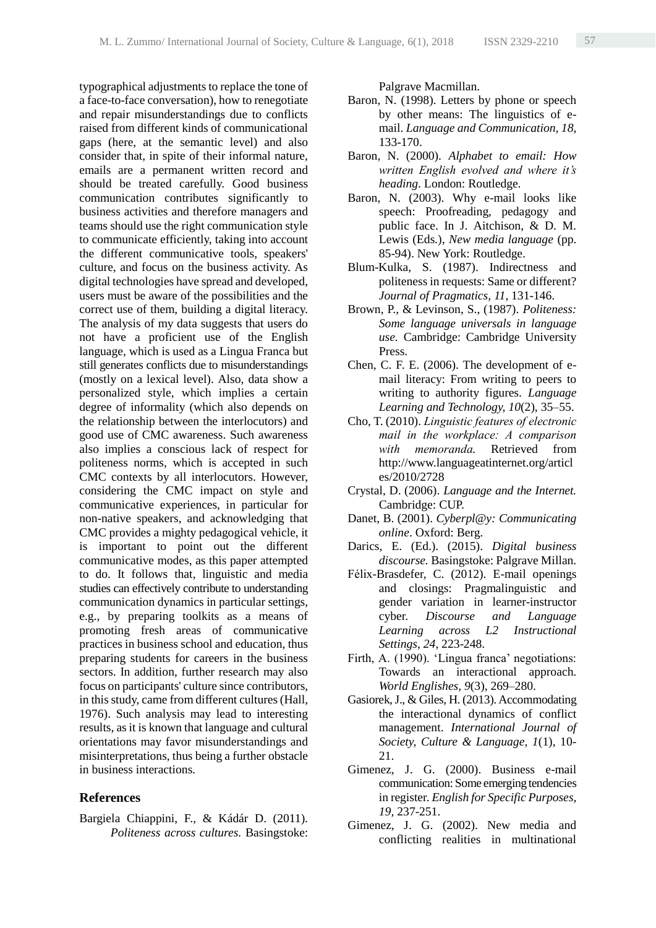typographical adjustments to replace the tone of a face-to-face conversation), how to renegotiate and repair misunderstandings due to conflicts raised from different kinds of communicational gaps (here, at the semantic level) and also consider that, in spite of their informal nature, emails are a permanent written record and should be treated carefully. Good business communication contributes significantly to business activities and therefore managers and teams should use the right communication style to communicate efficiently, taking into account the different communicative tools, speakers' culture, and focus on the business activity. As digital technologies have spread and developed, users must be aware of the possibilities and the correct use of them, building a digital literacy. The analysis of my data suggests that users do not have a proficient use of the English language, which is used as a Lingua Franca but still generates conflicts due to misunderstandings (mostly on a lexical level). Also, data show a personalized style, which implies a certain degree of informality (which also depends on the relationship between the interlocutors) and good use of CMC awareness. Such awareness also implies a conscious lack of respect for politeness norms, which is accepted in such CMC contexts by all interlocutors. However, considering the CMC impact on style and communicative experiences, in particular for non-native speakers, and acknowledging that CMC provides a mighty pedagogical vehicle, it is important to point out the different communicative modes, as this paper attempted to do. It follows that, linguistic and media studies can effectively contribute to understanding communication dynamics in particular settings, e.g., by preparing toolkits as a means of promoting fresh areas of communicative practices in business school and education, thus preparing students for careers in the business sectors. In addition, further research may also focus on participants' culture since contributors, in this study, came from different cultures (Hall, 1976). Such analysis may lead to interesting results, as it is known that language and cultural orientations may favor misunderstandings and misinterpretations, thus being a further obstacle in business interactions.

#### **References**

Bargiela Chiappini, F., & Kádár D. (2011). *Politeness across cultures.* Basingstoke: Palgrave Macmillan.

- Baron, N. (1998). Letters by phone or speech by other means: The linguistics of email. *Language and Communication, 18*, 133-170.
- Baron, N. (2000). *Alphabet to email: How written English evolved and where it's heading*. London: Routledge.
- Baron, N. (2003). Why e-mail looks like speech: Proofreading, pedagogy and public face. In J. Aitchison, & D. M. Lewis (Eds.), *New media language* (pp. 85-94). New York: Routledge.
- Blum-Kulka, S. (1987). Indirectness and politeness in requests: Same or different? *Journal of Pragmatics, 11*, 131-146.
- Brown, P., & Levinson, S., (1987). *Politeness: Some language universals in language use.* Cambridge: Cambridge University Press.
- Chen, C. F. E. (2006). The development of email literacy: From writing to peers to writing to authority figures. *Language Learning and Technology, 10*(2), 35–55.
- Cho, T. (2010). *Linguistic features of electronic mail in the workplace: A comparison with memoranda.* Retrieved from http://www.languageatinternet.org/articl es/2010/2728
- Crystal, D. (2006). *Language and the Internet.* Cambridge: CUP.
- Danet, B. (2001). *Cyberpl@y: Communicating online*. Oxford: Berg.
- Darics, E. (Ed.). (2015). *Digital business discourse.* Basingstoke: Palgrave Millan.
- Félix-Brasdefer, C. (2012). E-mail openings and closings: Pragmalinguistic and gender variation in learner-instructor cyber. *Discourse and Language Learning across L2 Instructional Settings, 24*, 223-248.
- Firth, A. (1990). 'Lingua franca' negotiations: Towards an interactional approach. *World Englishes, 9*(3), 269–280.
- Gasiorek, J., & Giles, H. (2013). Accommodating the interactional dynamics of conflict management. *International Journal of Society, Culture & Language, 1*(1), 10- 21.
- Gimenez, J. G. (2000). Business e-mail communication: Some emerging tendencies in register. *English for Specific Purposes, 19,* 237-251.
- Gimenez, J. G. (2002). New media and conflicting realities in multinational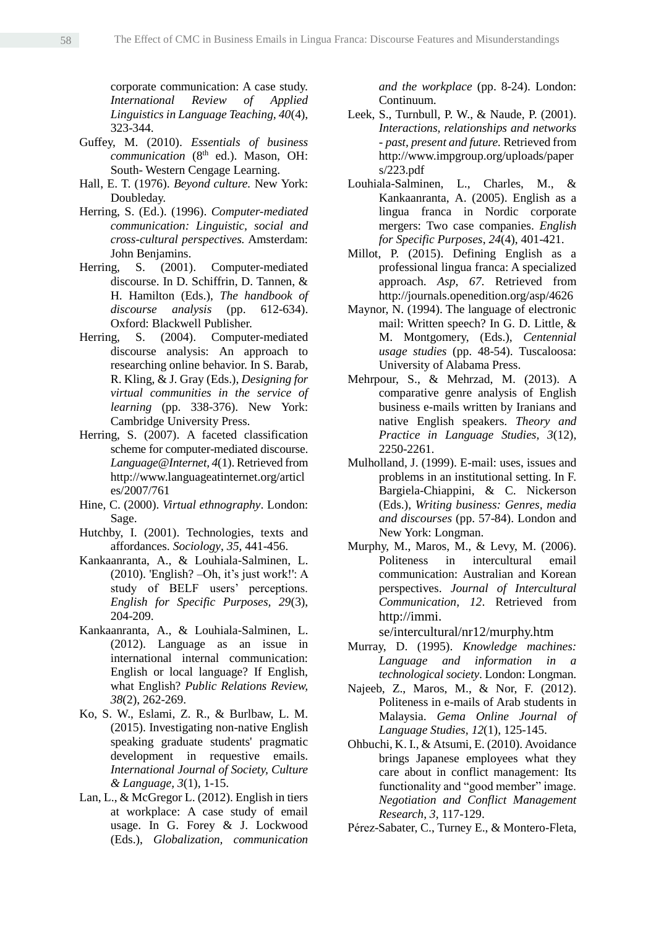corporate communication: A case study. *International Review of Applied Linguistics in Language Teaching, 40*(4), 323-344.

- Guffey, M. (2010). *Essentials of business communication* (8<sup>th</sup> ed.). Mason, OH: South- Western Cengage Learning.
- Hall, E. T. (1976). *Beyond culture.* New York: Doubleday.
- Herring, S. (Ed.). (1996). *Computer-mediated communication: Linguistic, social and cross-cultural perspectives.* Amsterdam: John Benjamins.
- Herring, S. (2001). Computer-mediated discourse. In D. Schiffrin, D. Tannen, & H. Hamilton (Eds.), *The handbook of discourse analysis* (pp. 612-634). Oxford: Blackwell Publisher.
- Herring, S. (2004). Computer-mediated discourse analysis: An approach to researching online behavior. In S. Barab, R. Kling, & J. Gray (Eds.), *Designing for virtual communities in the service of learning* (pp. 338-376). New York: Cambridge University Press.
- Herring, S. (2007). A faceted classification scheme for computer-mediated discourse. *Language@Internet, 4*(1). Retrieved from http://www.languageatinternet.org/articl es/2007/761
- Hine, C. (2000). *Virtual ethnography*. London: Sage.
- Hutchby, I. (2001). Technologies, texts and affordances. *Sociology*, *35*, 441-456.
- Kankaanranta, A., & Louhiala-Salminen, L. (2010). 'English? –Oh, it's just work!': A study of BELF users' perceptions. *English for Specific Purposes, 29*(3), 204-209.
- Kankaanranta, A., & Louhiala-Salminen, L. (2012). Language as an issue in international internal communication: English or local language? If English, what English? *Public Relations Review, 38*(2), 262-269.
- Ko, S. W., Eslami, Z. R., & Burlbaw, L. M. (2015). Investigating non-native English speaking graduate students' pragmatic development in requestive emails. *International Journal of Society, Culture & Language, 3*(1), 1-15.
- Lan, L., & McGregor L. (2012). English in tiers at workplace: A case study of email usage. In G. Forey & J. Lockwood (Eds.), *Globalization, communication*

*and the workplace* (pp. 8-24). London: Continuum.

- Leek, S., Turnbull, P. W., & Naude, P. (2001). *Interactions, relationships and networks - past, present and future.* Retrieved from http://www.impgroup.org/uploads/paper s/223.pdf
- Louhiala-Salminen, L., Charles, M., & Kankaanranta, A. (2005). English as a lingua franca in Nordic corporate mergers: Two case companies. *English for Specific Purposes*, *24*(4), 401-421.
- Millot, P. (2015). Defining English as a professional lingua franca: A specialized approach. *Asp*, *67*. Retrieved from http://journals.openedition.org/asp/4626
- Maynor, N. (1994). The language of electronic mail: Written speech? In G. D. Little, & M. Montgomery, (Eds.), *Centennial usage studies* (pp. 48-54). Tuscaloosa: University of Alabama Press.
- Mehrpour, S., & Mehrzad, M. (2013). A comparative genre analysis of English business e-mails written by Iranians and native English speakers. *Theory and Practice in Language Studies, 3*(12), 2250-2261.
- Mulholland, J. (1999). E-mail: uses, issues and problems in an institutional setting. In F. Bargiela-Chiappini, & C. Nickerson (Eds.), *Writing business: Genres, media and discourses* (pp. 57-84). London and New York: Longman.
- Murphy, M., Maros, M., & Levy, M. (2006). Politeness in intercultural email communication: Australian and Korean perspectives. *Journal of Intercultural Communication, 12*. Retrieved from http://immi.

se/intercultural/nr12/murphy.htm

- Murray, D. (1995). *Knowledge machines: Language and information in a technological society*. London: Longman.
- Najeeb, Z., Maros, M., & Nor, F. (2012). Politeness in e-mails of Arab students in Malaysia. *Gema Online Journal of Language Studies, 12*(1), 125-145.
- Ohbuchi, K. I., & Atsumi, E. (2010). Avoidance brings Japanese employees what they care about in conflict management: Its functionality and "good member" image. *Negotiation and Conflict Management Research*, *3*, 117-129.
- Pérez-Sabater, C., Turney E., & Montero-Fleta,